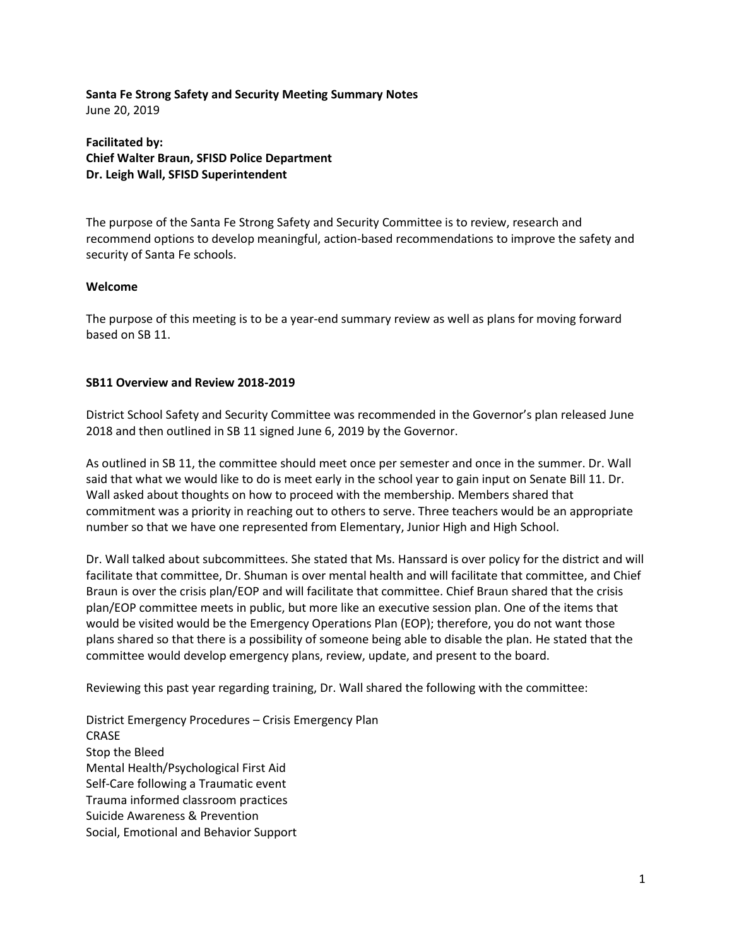## **Santa Fe Strong Safety and Security Meeting Summary Notes** June 20, 2019

**Facilitated by: Chief Walter Braun, SFISD Police Department Dr. Leigh Wall, SFISD Superintendent**

The purpose of the Santa Fe Strong Safety and Security Committee is to review, research and recommend options to develop meaningful, action-based recommendations to improve the safety and security of Santa Fe schools.

## **Welcome**

The purpose of this meeting is to be a year-end summary review as well as plans for moving forward based on SB 11.

# **SB11 Overview and Review 2018-2019**

District School Safety and Security Committee was recommended in the Governor's plan released June 2018 and then outlined in SB 11 signed June 6, 2019 by the Governor.

As outlined in SB 11, the committee should meet once per semester and once in the summer. Dr. Wall said that what we would like to do is meet early in the school year to gain input on Senate Bill 11. Dr. Wall asked about thoughts on how to proceed with the membership. Members shared that commitment was a priority in reaching out to others to serve. Three teachers would be an appropriate number so that we have one represented from Elementary, Junior High and High School.

Dr. Wall talked about subcommittees. She stated that Ms. Hanssard is over policy for the district and will facilitate that committee, Dr. Shuman is over mental health and will facilitate that committee, and Chief Braun is over the crisis plan/EOP and will facilitate that committee. Chief Braun shared that the crisis plan/EOP committee meets in public, but more like an executive session plan. One of the items that would be visited would be the Emergency Operations Plan (EOP); therefore, you do not want those plans shared so that there is a possibility of someone being able to disable the plan. He stated that the committee would develop emergency plans, review, update, and present to the board.

Reviewing this past year regarding training, Dr. Wall shared the following with the committee:

District Emergency Procedures – Crisis Emergency Plan CRASE Stop the Bleed Mental Health/Psychological First Aid Self-Care following a Traumatic event Trauma informed classroom practices Suicide Awareness & Prevention Social, Emotional and Behavior Support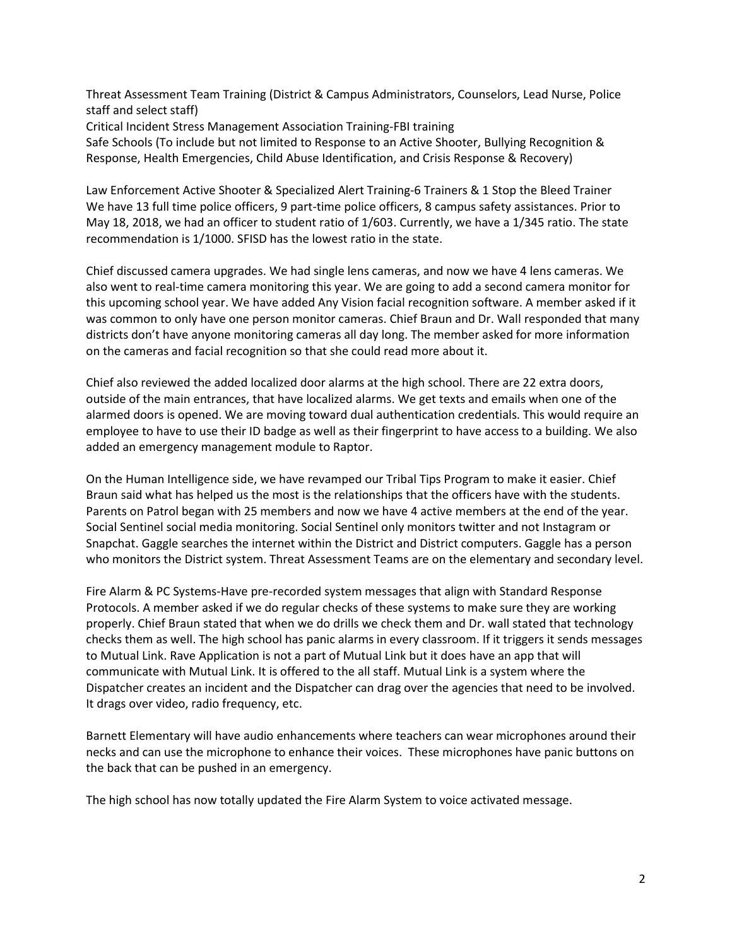Threat Assessment Team Training (District & Campus Administrators, Counselors, Lead Nurse, Police staff and select staff)

Critical Incident Stress Management Association Training-FBI training

Safe Schools (To include but not limited to Response to an Active Shooter, Bullying Recognition & Response, Health Emergencies, Child Abuse Identification, and Crisis Response & Recovery)

Law Enforcement Active Shooter & Specialized Alert Training-6 Trainers & 1 Stop the Bleed Trainer We have 13 full time police officers, 9 part-time police officers, 8 campus safety assistances. Prior to May 18, 2018, we had an officer to student ratio of 1/603. Currently, we have a 1/345 ratio. The state recommendation is 1/1000. SFISD has the lowest ratio in the state.

Chief discussed camera upgrades. We had single lens cameras, and now we have 4 lens cameras. We also went to real-time camera monitoring this year. We are going to add a second camera monitor for this upcoming school year. We have added Any Vision facial recognition software. A member asked if it was common to only have one person monitor cameras. Chief Braun and Dr. Wall responded that many districts don't have anyone monitoring cameras all day long. The member asked for more information on the cameras and facial recognition so that she could read more about it.

Chief also reviewed the added localized door alarms at the high school. There are 22 extra doors, outside of the main entrances, that have localized alarms. We get texts and emails when one of the alarmed doors is opened. We are moving toward dual authentication credentials. This would require an employee to have to use their ID badge as well as their fingerprint to have access to a building. We also added an emergency management module to Raptor.

On the Human Intelligence side, we have revamped our Tribal Tips Program to make it easier. Chief Braun said what has helped us the most is the relationships that the officers have with the students. Parents on Patrol began with 25 members and now we have 4 active members at the end of the year. Social Sentinel social media monitoring. Social Sentinel only monitors twitter and not Instagram or Snapchat. Gaggle searches the internet within the District and District computers. Gaggle has a person who monitors the District system. Threat Assessment Teams are on the elementary and secondary level.

Fire Alarm & PC Systems-Have pre-recorded system messages that align with Standard Response Protocols. A member asked if we do regular checks of these systems to make sure they are working properly. Chief Braun stated that when we do drills we check them and Dr. wall stated that technology checks them as well. The high school has panic alarms in every classroom. If it triggers it sends messages to Mutual Link. Rave Application is not a part of Mutual Link but it does have an app that will communicate with Mutual Link. It is offered to the all staff. Mutual Link is a system where the Dispatcher creates an incident and the Dispatcher can drag over the agencies that need to be involved. It drags over video, radio frequency, etc.

Barnett Elementary will have audio enhancements where teachers can wear microphones around their necks and can use the microphone to enhance their voices. These microphones have panic buttons on the back that can be pushed in an emergency.

The high school has now totally updated the Fire Alarm System to voice activated message.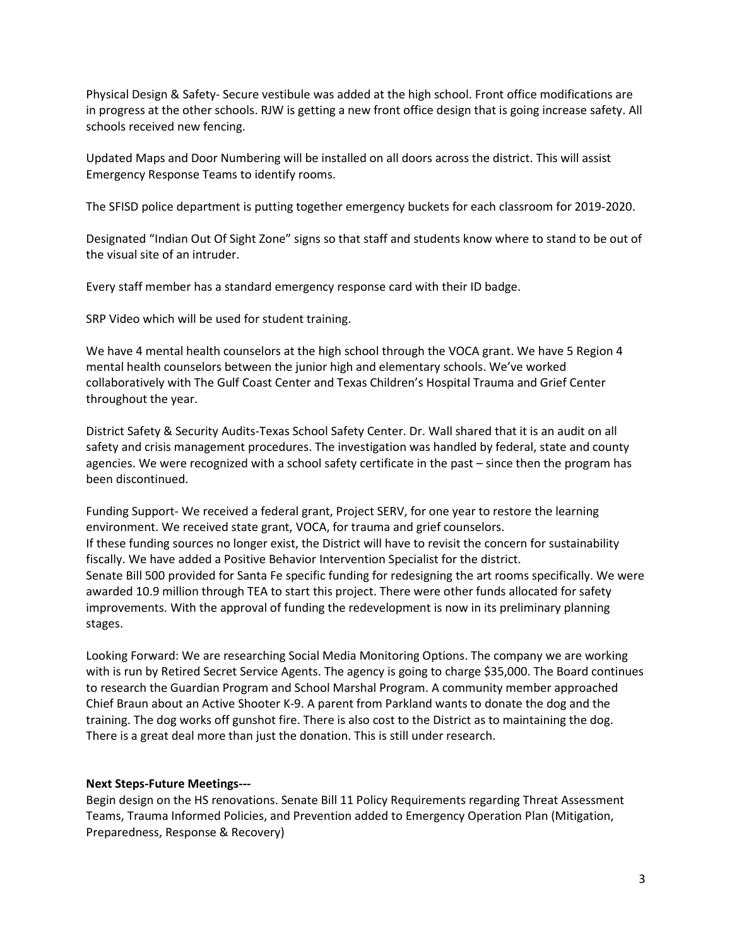Physical Design & Safety- Secure vestibule was added at the high school. Front office modifications are in progress at the other schools. RJW is getting a new front office design that is going increase safety. All schools received new fencing.

Updated Maps and Door Numbering will be installed on all doors across the district. This will assist Emergency Response Teams to identify rooms.

The SFISD police department is putting together emergency buckets for each classroom for 2019-2020.

Designated "Indian Out Of Sight Zone" signs so that staff and students know where to stand to be out of the visual site of an intruder.

Every staff member has a standard emergency response card with their ID badge.

SRP Video which will be used for student training.

We have 4 mental health counselors at the high school through the VOCA grant. We have 5 Region 4 mental health counselors between the junior high and elementary schools. We've worked collaboratively with The Gulf Coast Center and Texas Children's Hospital Trauma and Grief Center throughout the year.

District Safety & Security Audits-Texas School Safety Center. Dr. Wall shared that it is an audit on all safety and crisis management procedures. The investigation was handled by federal, state and county agencies. We were recognized with a school safety certificate in the past – since then the program has been discontinued.

Funding Support- We received a federal grant, Project SERV, for one year to restore the learning environment. We received state grant, VOCA, for trauma and grief counselors. If these funding sources no longer exist, the District will have to revisit the concern for sustainability fiscally. We have added a Positive Behavior Intervention Specialist for the district. Senate Bill 500 provided for Santa Fe specific funding for redesigning the art rooms specifically. We were awarded 10.9 million through TEA to start this project. There were other funds allocated for safety improvements. With the approval of funding the redevelopment is now in its preliminary planning stages.

Looking Forward: We are researching Social Media Monitoring Options. The company we are working with is run by Retired Secret Service Agents. The agency is going to charge \$35,000. The Board continues to research the Guardian Program and School Marshal Program. A community member approached Chief Braun about an Active Shooter K-9. A parent from Parkland wants to donate the dog and the training. The dog works off gunshot fire. There is also cost to the District as to maintaining the dog. There is a great deal more than just the donation. This is still under research.

#### **Next Steps-Future Meetings---**

Begin design on the HS renovations. Senate Bill 11 Policy Requirements regarding Threat Assessment Teams, Trauma Informed Policies, and Prevention added to Emergency Operation Plan (Mitigation, Preparedness, Response & Recovery)